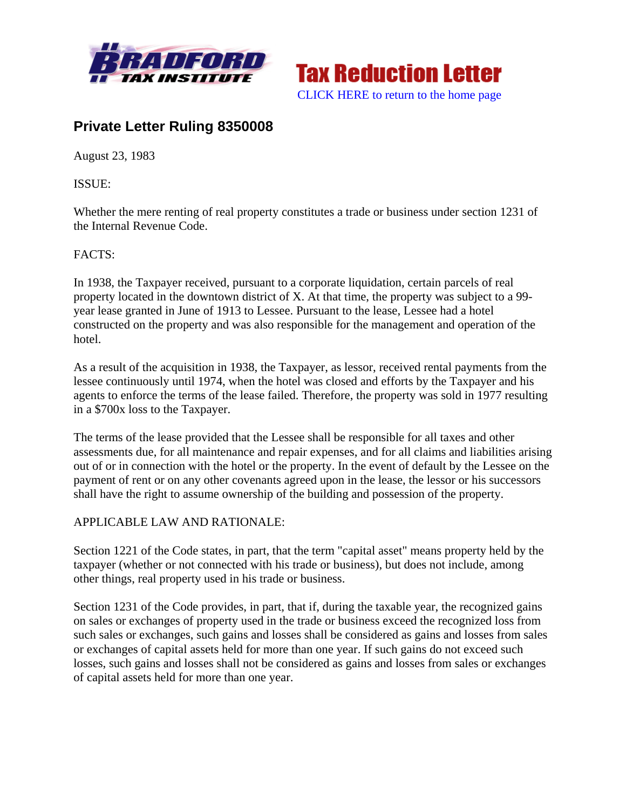



## **Private Letter Ruling 8350008**

August 23, 1983

ISSUE:

Whether the mere renting of real property constitutes a trade or business under section 1231 of the Internal Revenue Code.

## FACTS:

In 1938, the Taxpayer received, pursuant to a corporate liquidation, certain parcels of real property located in the downtown district of X. At that time, the property was subject to a 99 year lease granted in June of 1913 to Lessee. Pursuant to the lease, Lessee had a hotel constructed on the property and was also responsible for the management and operation of the hotel.

As a result of the acquisition in 1938, the Taxpayer, as lessor, received rental payments from the lessee continuously until 1974, when the hotel was closed and efforts by the Taxpayer and his agents to enforce the terms of the lease failed. Therefore, the property was sold in 1977 resulting in a \$700x loss to the Taxpayer.

The terms of the lease provided that the Lessee shall be responsible for all taxes and other assessments due, for all maintenance and repair expenses, and for all claims and liabilities arising out of or in connection with the hotel or the property. In the event of default by the Lessee on the payment of rent or on any other covenants agreed upon in the lease, the lessor or his successors shall have the right to assume ownership of the building and possession of the property.

## APPLICABLE LAW AND RATIONALE:

Section 1221 of the Code states, in part, that the term "capital asset" means property held by the taxpayer (whether or not connected with his trade or business), but does not include, among other things, real property used in his trade or business.

Section 1231 of the Code provides, in part, that if, during the taxable year, the recognized gains on sales or exchanges of property used in the trade or business exceed the recognized loss from such sales or exchanges, such gains and losses shall be considered as gains and losses from sales or exchanges of capital assets held for more than one year. If such gains do not exceed such losses, such gains and losses shall not be considered as gains and losses from sales or exchanges of capital assets held for more than one year.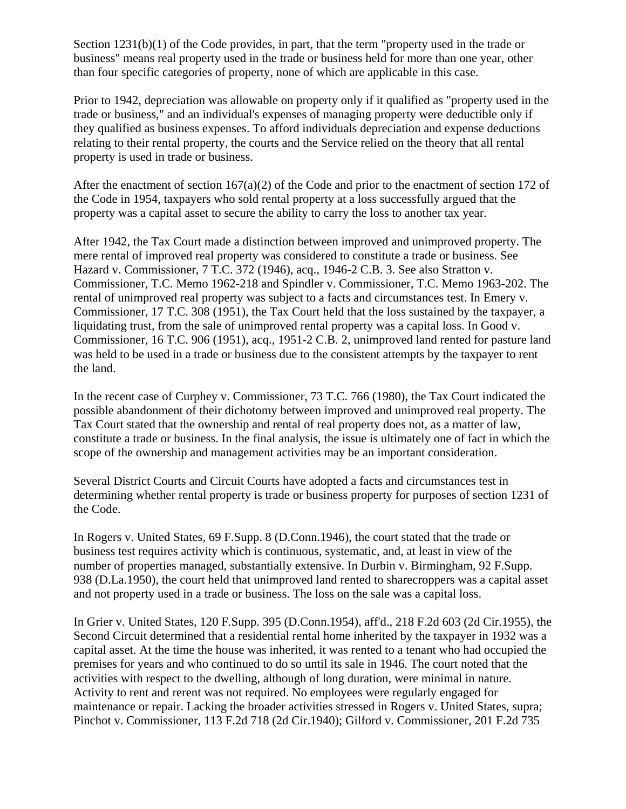Section 1231(b)(1) of the Code provides, in part, that the term "property used in the trade or business" means real property used in the trade or business held for more than one year, other than four specific categories of property, none of which are applicable in this case.

Prior to 1942, depreciation was allowable on property only if it qualified as "property used in the trade or business," and an individual's expenses of managing property were deductible only if they qualified as business expenses. To afford individuals depreciation and expense deductions relating to their rental property, the courts and the Service relied on the theory that all rental property is used in trade or business.

After the enactment of section 167(a)(2) of the Code and prior to the enactment of section 172 of the Code in 1954, taxpayers who sold rental property at a loss successfully argued that the property was a capital asset to secure the ability to carry the loss to another tax year.

After 1942, the Tax Court made a distinction between improved and unimproved property. The mere rental of improved real property was considered to constitute a trade or business. See Hazard v. Commissioner, 7 T.C. 372 (1946), acq., 1946-2 C.B. 3. See also Stratton v. Commissioner, T.C. Memo 1962-218 and Spindler v. Commissioner, T.C. Memo 1963-202. The rental of unimproved real property was subject to a facts and circumstances test. In Emery v. Commissioner, 17 T.C. 308 (1951), the Tax Court held that the loss sustained by the taxpayer, a liquidating trust, from the sale of unimproved rental property was a capital loss. In Good v. Commissioner, 16 T.C. 906 (1951), acq., 1951-2 C.B. 2, unimproved land rented for pasture land was held to be used in a trade or business due to the consistent attempts by the taxpayer to rent the land.

In the recent case of Curphey v. Commissioner, 73 T.C. 766 (1980), the Tax Court indicated the possible abandonment of their dichotomy between improved and unimproved real property. The Tax Court stated that the ownership and rental of real property does not, as a matter of law, constitute a trade or business. In the final analysis, the issue is ultimately one of fact in which the scope of the ownership and management activities may be an important consideration.

Several District Courts and Circuit Courts have adopted a facts and circumstances test in determining whether rental property is trade or business property for purposes of section 1231 of the Code.

In Rogers v. United States, 69 F.Supp. 8 (D.Conn.1946), the court stated that the trade or business test requires activity which is continuous, systematic, and, at least in view of the number of properties managed, substantially extensive. In Durbin v. Birmingham, 92 F.Supp. 938 (D.La.1950), the court held that unimproved land rented to sharecroppers was a capital asset and not property used in a trade or business. The loss on the sale was a capital loss.

In Grier v. United States, 120 F.Supp. 395 (D.Conn.1954), aff'd., 218 F.2d 603 (2d Cir.1955), the Second Circuit determined that a residential rental home inherited by the taxpayer in 1932 was a capital asset. At the time the house was inherited, it was rented to a tenant who had occupied the premises for years and who continued to do so until its sale in 1946. The court noted that the activities with respect to the dwelling, although of long duration, were minimal in nature. Activity to rent and rerent was not required. No employees were regularly engaged for maintenance or repair. Lacking the broader activities stressed in Rogers v. United States, supra; Pinchot v. Commissioner, 113 F.2d 718 (2d Cir.1940); Gilford v. Commissioner, 201 F.2d 735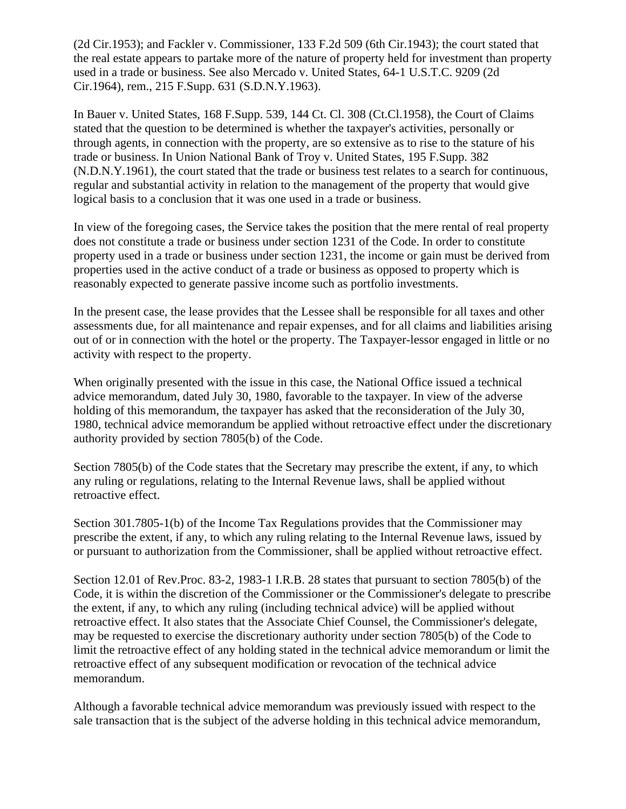(2d Cir.1953); and Fackler v. Commissioner, 133 F.2d 509 (6th Cir.1943); the court stated that the real estate appears to partake more of the nature of property held for investment than property used in a trade or business. See also Mercado v. United States, 64-1 U.S.T.C. 9209 (2d Cir.1964), rem., 215 F.Supp. 631 (S.D.N.Y.1963).

In Bauer v. United States, 168 F.Supp. 539, 144 Ct. Cl. 308 (Ct.Cl.1958), the Court of Claims stated that the question to be determined is whether the taxpayer's activities, personally or through agents, in connection with the property, are so extensive as to rise to the stature of his trade or business. In Union National Bank of Troy v. United States, 195 F.Supp. 382 (N.D.N.Y.1961), the court stated that the trade or business test relates to a search for continuous, regular and substantial activity in relation to the management of the property that would give logical basis to a conclusion that it was one used in a trade or business.

In view of the foregoing cases, the Service takes the position that the mere rental of real property does not constitute a trade or business under section 1231 of the Code. In order to constitute property used in a trade or business under section 1231, the income or gain must be derived from properties used in the active conduct of a trade or business as opposed to property which is reasonably expected to generate passive income such as portfolio investments.

In the present case, the lease provides that the Lessee shall be responsible for all taxes and other assessments due, for all maintenance and repair expenses, and for all claims and liabilities arising out of or in connection with the hotel or the property. The Taxpayer-lessor engaged in little or no activity with respect to the property.

When originally presented with the issue in this case, the National Office issued a technical advice memorandum, dated July 30, 1980, favorable to the taxpayer. In view of the adverse holding of this memorandum, the taxpayer has asked that the reconsideration of the July 30, 1980, technical advice memorandum be applied without retroactive effect under the discretionary authority provided by section 7805(b) of the Code.

Section 7805(b) of the Code states that the Secretary may prescribe the extent, if any, to which any ruling or regulations, relating to the Internal Revenue laws, shall be applied without retroactive effect.

Section 301.7805-1(b) of the Income Tax Regulations provides that the Commissioner may prescribe the extent, if any, to which any ruling relating to the Internal Revenue laws, issued by or pursuant to authorization from the Commissioner, shall be applied without retroactive effect.

Section 12.01 of Rev.Proc. 83-2, 1983-1 I.R.B. 28 states that pursuant to section 7805(b) of the Code, it is within the discretion of the Commissioner or the Commissioner's delegate to prescribe the extent, if any, to which any ruling (including technical advice) will be applied without retroactive effect. It also states that the Associate Chief Counsel, the Commissioner's delegate, may be requested to exercise the discretionary authority under section 7805(b) of the Code to limit the retroactive effect of any holding stated in the technical advice memorandum or limit the retroactive effect of any subsequent modification or revocation of the technical advice memorandum.

Although a favorable technical advice memorandum was previously issued with respect to the sale transaction that is the subject of the adverse holding in this technical advice memorandum,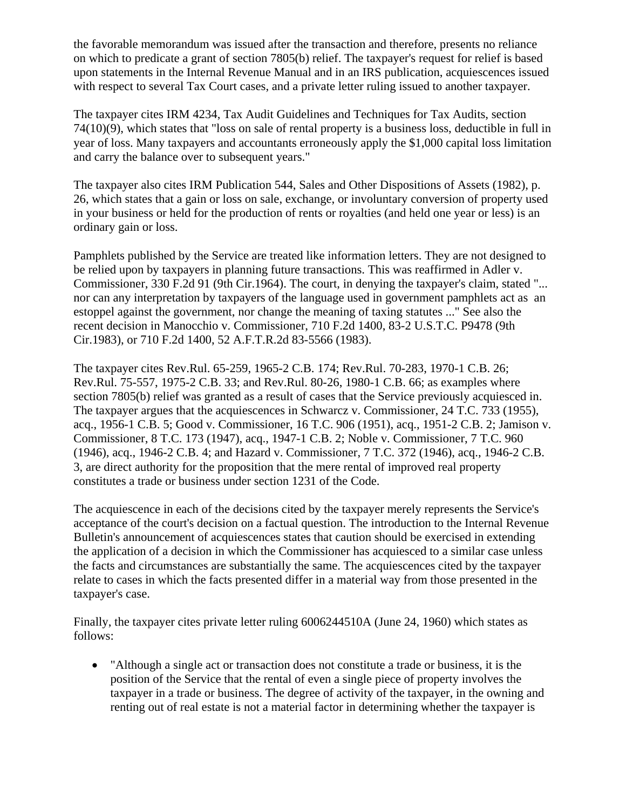the favorable memorandum was issued after the transaction and therefore, presents no reliance on which to predicate a grant of section 7805(b) relief. The taxpayer's request for relief is based upon statements in the Internal Revenue Manual and in an IRS publication, acquiescences issued with respect to several Tax Court cases, and a private letter ruling issued to another taxpayer.

The taxpayer cites IRM 4234, Tax Audit Guidelines and Techniques for Tax Audits, section 74(10)(9), which states that "loss on sale of rental property is a business loss, deductible in full in year of loss. Many taxpayers and accountants erroneously apply the \$1,000 capital loss limitation and carry the balance over to subsequent years."

The taxpayer also cites IRM Publication 544, Sales and Other Dispositions of Assets (1982), p. 26, which states that a gain or loss on sale, exchange, or involuntary conversion of property used in your business or held for the production of rents or royalties (and held one year or less) is an ordinary gain or loss.

Pamphlets published by the Service are treated like information letters. They are not designed to be relied upon by taxpayers in planning future transactions. This was reaffirmed in Adler v. Commissioner, 330 F.2d 91 (9th Cir.1964). The court, in denying the taxpayer's claim, stated "... nor can any interpretation by taxpayers of the language used in government pamphlets act as an estoppel against the government, nor change the meaning of taxing statutes ..." See also the recent decision in Manocchio v. Commissioner, 710 F.2d 1400, 83-2 U.S.T.C. P9478 (9th Cir.1983), or 710 F.2d 1400, 52 A.F.T.R.2d 83-5566 (1983).

The taxpayer cites Rev.Rul. 65-259, 1965-2 C.B. 174; Rev.Rul. 70-283, 1970-1 C.B. 26; Rev.Rul. 75-557, 1975-2 C.B. 33; and Rev.Rul. 80-26, 1980-1 C.B. 66; as examples where section 7805(b) relief was granted as a result of cases that the Service previously acquiesced in. The taxpayer argues that the acquiescences in Schwarcz v. Commissioner, 24 T.C. 733 (1955), acq., 1956-1 C.B. 5; Good v. Commissioner, 16 T.C. 906 (1951), acq., 1951-2 C.B. 2; Jamison v. Commissioner, 8 T.C. 173 (1947), acq., 1947-1 C.B. 2; Noble v. Commissioner, 7 T.C. 960 (1946), acq., 1946-2 C.B. 4; and Hazard v. Commissioner, 7 T.C. 372 (1946), acq., 1946-2 C.B. 3, are direct authority for the proposition that the mere rental of improved real property constitutes a trade or business under section 1231 of the Code.

The acquiescence in each of the decisions cited by the taxpayer merely represents the Service's acceptance of the court's decision on a factual question. The introduction to the Internal Revenue Bulletin's announcement of acquiescences states that caution should be exercised in extending the application of a decision in which the Commissioner has acquiesced to a similar case unless the facts and circumstances are substantially the same. The acquiescences cited by the taxpayer relate to cases in which the facts presented differ in a material way from those presented in the taxpayer's case.

Finally, the taxpayer cites private letter ruling 6006244510A (June 24, 1960) which states as follows:

• "Although a single act or transaction does not constitute a trade or business, it is the position of the Service that the rental of even a single piece of property involves the taxpayer in a trade or business. The degree of activity of the taxpayer, in the owning and renting out of real estate is not a material factor in determining whether the taxpayer is